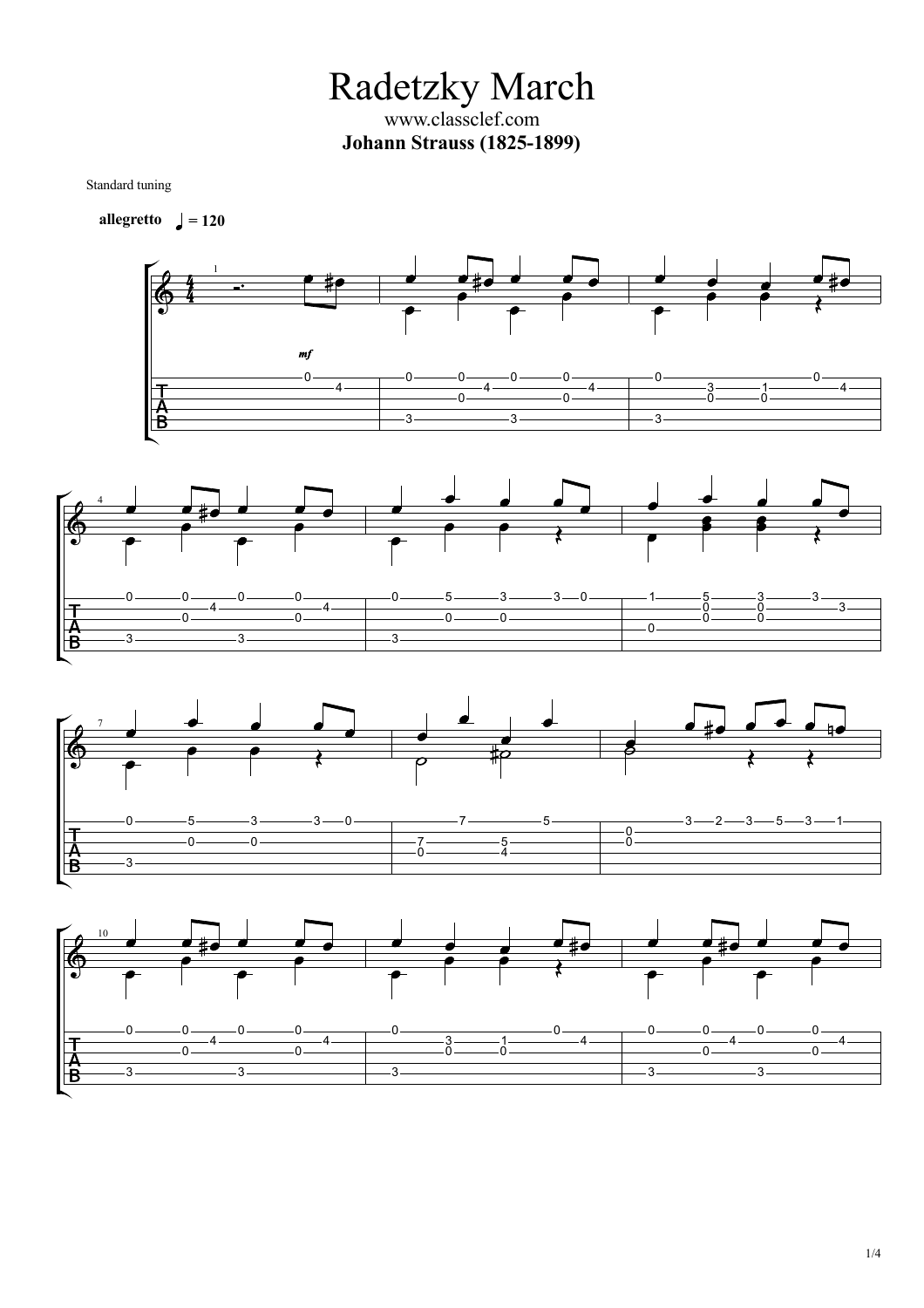Radetzky March www.classclef.com **Johann Strauss (1825-1899)**

Standard tuning

**allegretto**  $\sqrt{ } = 120$ 









1/4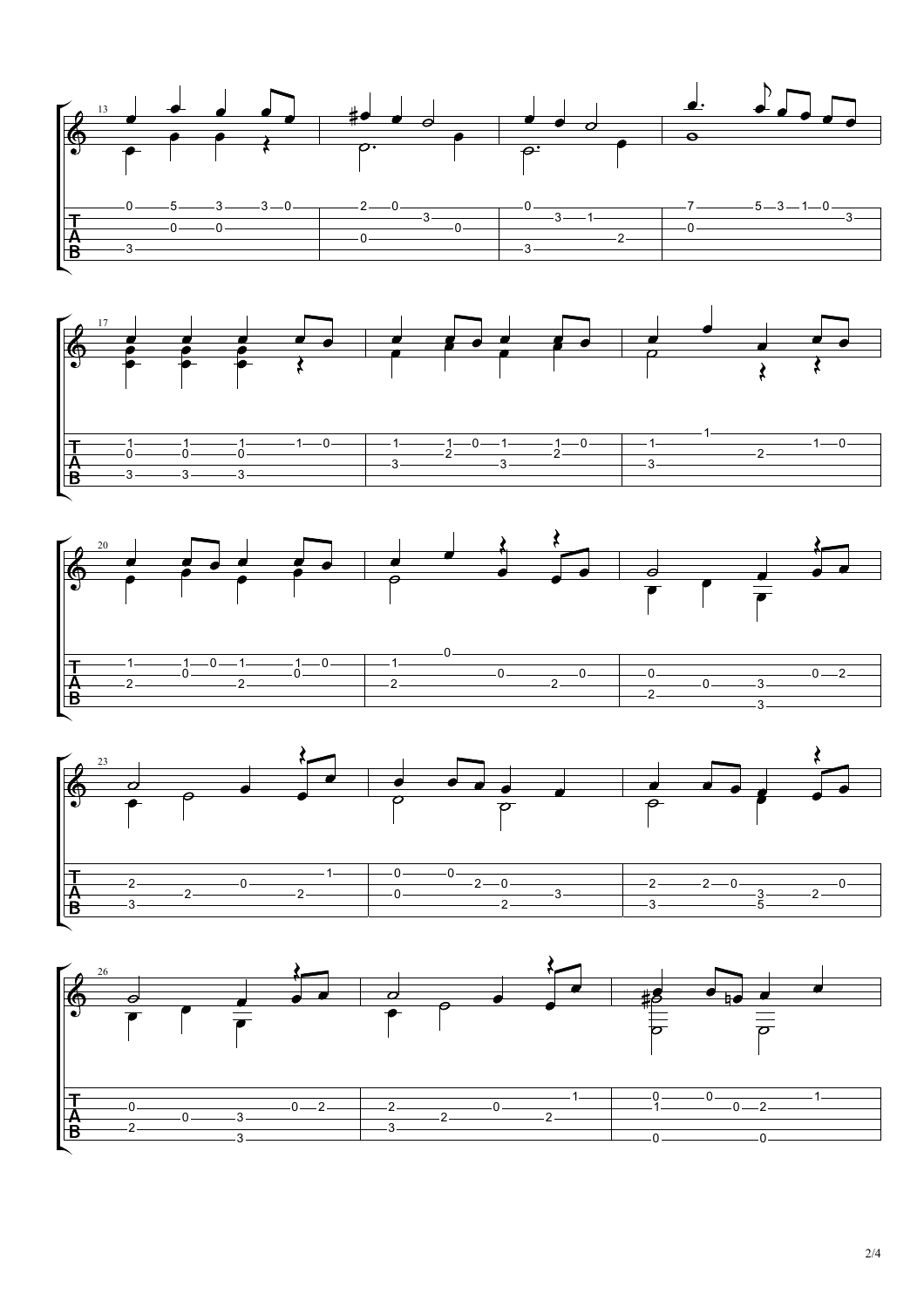







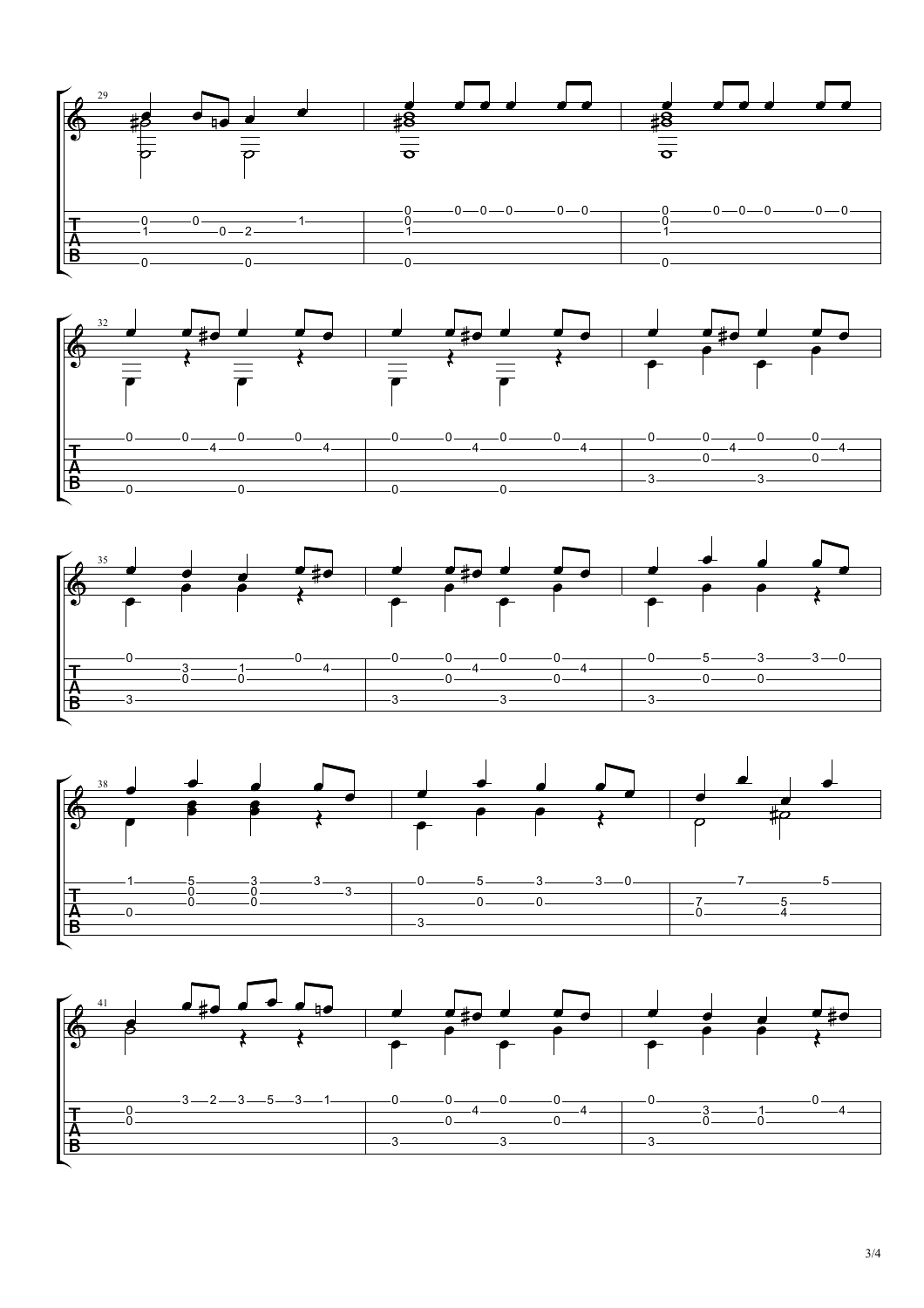